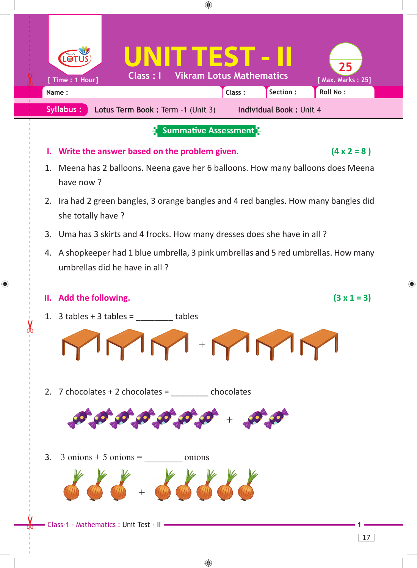

 $\bigoplus$